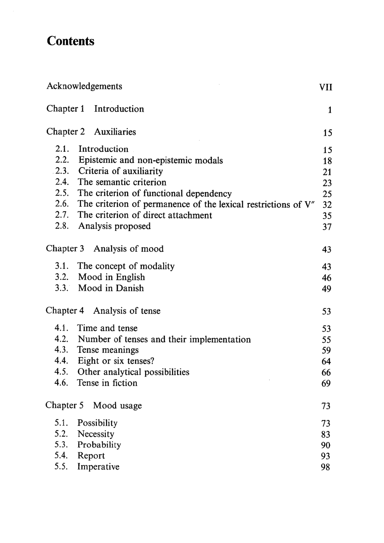## **Contents**

|      | Acknowledgements                                                   | VII |
|------|--------------------------------------------------------------------|-----|
|      | Chapter 1 Introduction                                             | 1   |
|      | Chapter 2 Auxiliaries                                              | 15  |
| 2.1. | Introduction                                                       | 15  |
|      | 2.2. Epistemic and non-epistemic modals                            | 18  |
|      | 2.3. Criteria of auxiliarity                                       | 21  |
|      | 2.4. The semantic criterion                                        | 23  |
|      | 2.5. The criterion of functional dependency                        | 25  |
|      | 2.6. The criterion of permanence of the lexical restrictions of V" | 32  |
|      | 2.7. The criterion of direct attachment                            | 35  |
|      | 2.8. Analysis proposed                                             | 37  |
|      | Chapter 3 Analysis of mood                                         | 43  |
|      | 3.1. The concept of modality                                       | 43  |
|      | 3.2. Mood in English                                               | 46  |
|      | 3.3. Mood in Danish                                                | 49  |
|      | Chapter 4 Analysis of tense                                        | 53  |
|      | 4.1. Time and tense                                                | 53  |
|      | 4.2. Number of tenses and their implementation                     | 55  |
|      | 4.3. Tense meanings                                                | 59  |
|      | 4.4. Eight or six tenses?                                          | 64  |
|      | 4.5. Other analytical possibilities                                | 66  |
| 4.6. | Tense in fiction                                                   | 69  |
|      | Chapter 5 Mood usage                                               | 73  |
| 5.1. | Possibility                                                        | 73  |
| 5.2. | Necessity                                                          | 83  |
| 5.3. | Probability                                                        | 90  |
| 5.4. | Report                                                             | 93  |
| 5.5. | Imperative                                                         | 98  |